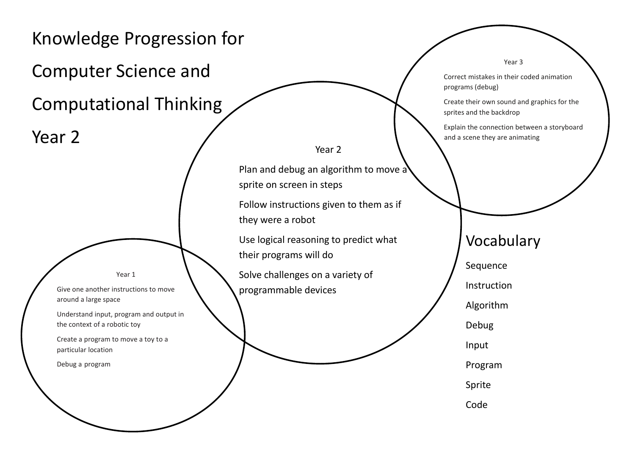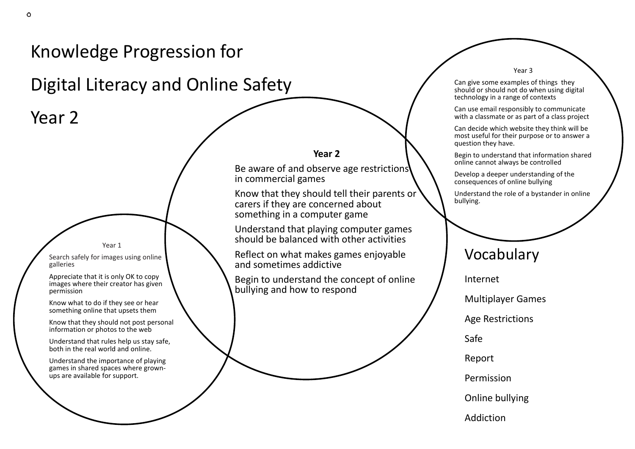